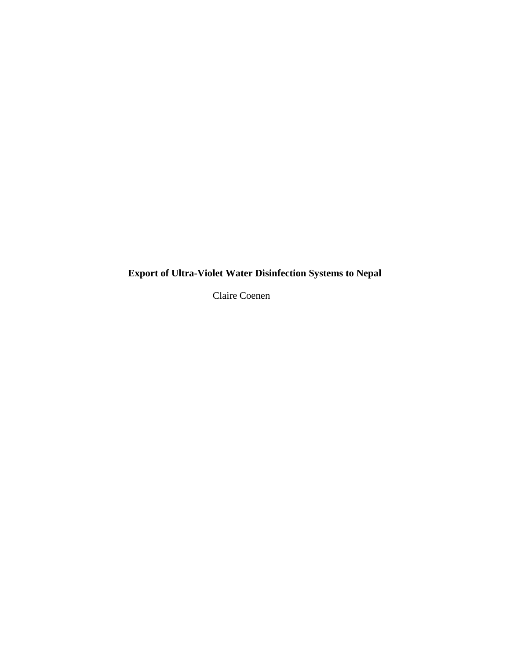**Export of Ultra-Violet Water Disinfection Systems to Nepal**

Claire Coenen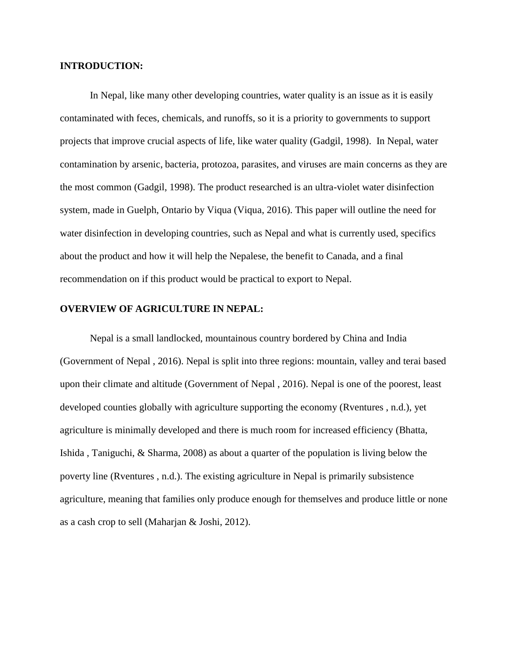### **INTRODUCTION:**

In Nepal, like many other developing countries, water quality is an issue as it is easily contaminated with feces, chemicals, and runoffs, so it is a priority to governments to support projects that improve crucial aspects of life, like water quality (Gadgil, 1998). In Nepal, water contamination by arsenic, bacteria, protozoa, parasites, and viruses are main concerns as they are the most common (Gadgil, 1998). The product researched is an ultra-violet water disinfection system, made in Guelph, Ontario by Viqua (Viqua, 2016). This paper will outline the need for water disinfection in developing countries, such as Nepal and what is currently used, specifics about the product and how it will help the Nepalese, the benefit to Canada, and a final recommendation on if this product would be practical to export to Nepal.

# **OVERVIEW OF AGRICULTURE IN NEPAL:**

Nepal is a small landlocked, mountainous country bordered by China and India (Government of Nepal , 2016). Nepal is split into three regions: mountain, valley and terai based upon their climate and altitude (Government of Nepal , 2016). Nepal is one of the poorest, least developed counties globally with agriculture supporting the economy (Rventures , n.d.), yet agriculture is minimally developed and there is much room for increased efficiency (Bhatta, Ishida , Taniguchi, & Sharma, 2008) as about a quarter of the population is living below the poverty line (Rventures , n.d.). The existing agriculture in Nepal is primarily subsistence agriculture, meaning that families only produce enough for themselves and produce little or none as a cash crop to sell (Maharjan & Joshi, 2012).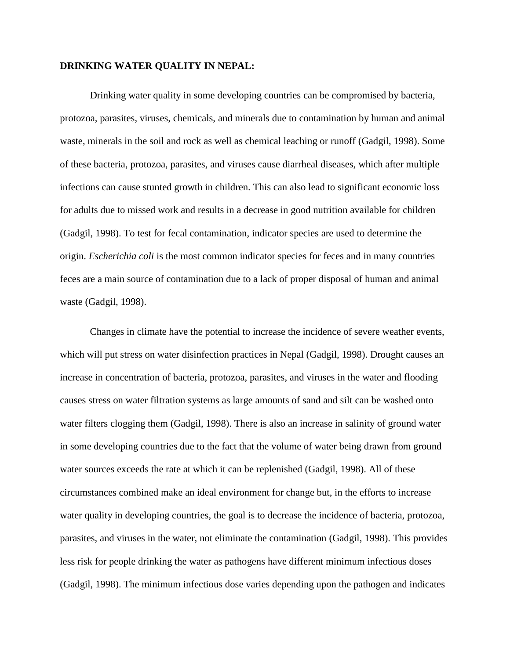### **DRINKING WATER QUALITY IN NEPAL:**

Drinking water quality in some developing countries can be compromised by bacteria, protozoa, parasites, viruses, chemicals, and minerals due to contamination by human and animal waste, minerals in the soil and rock as well as chemical leaching or runoff (Gadgil, 1998). Some of these bacteria, protozoa, parasites, and viruses cause diarrheal diseases, which after multiple infections can cause stunted growth in children. This can also lead to significant economic loss for adults due to missed work and results in a decrease in good nutrition available for children (Gadgil, 1998). To test for fecal contamination, indicator species are used to determine the origin. *Escherichia coli* is the most common indicator species for feces and in many countries feces are a main source of contamination due to a lack of proper disposal of human and animal waste (Gadgil, 1998).

Changes in climate have the potential to increase the incidence of severe weather events, which will put stress on water disinfection practices in Nepal (Gadgil, 1998). Drought causes an increase in concentration of bacteria, protozoa, parasites, and viruses in the water and flooding causes stress on water filtration systems as large amounts of sand and silt can be washed onto water filters clogging them (Gadgil, 1998). There is also an increase in salinity of ground water in some developing countries due to the fact that the volume of water being drawn from ground water sources exceeds the rate at which it can be replenished (Gadgil, 1998). All of these circumstances combined make an ideal environment for change but, in the efforts to increase water quality in developing countries, the goal is to decrease the incidence of bacteria, protozoa, parasites, and viruses in the water, not eliminate the contamination (Gadgil, 1998). This provides less risk for people drinking the water as pathogens have different minimum infectious doses (Gadgil, 1998). The minimum infectious dose varies depending upon the pathogen and indicates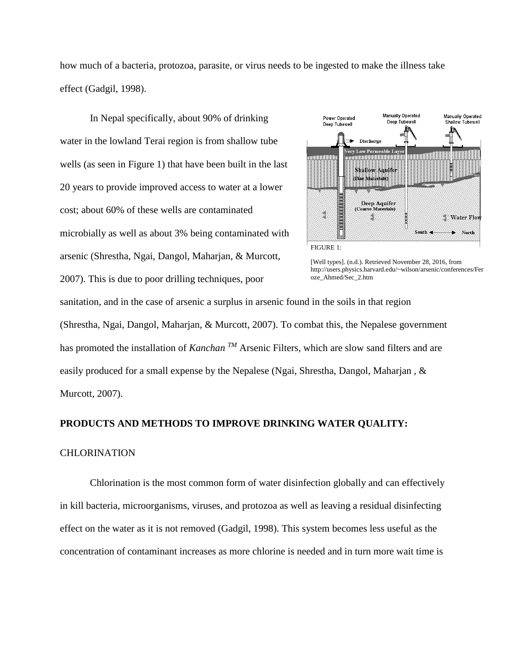how much of a bacteria, protozoa, parasite, or virus needs to be ingested to make the illness take effect (Gadgil, 1998).

In Nepal specifically, about 90% of drinking water in the lowland Terai region is from shallow tube wells (as seen in Figure 1) that have been built in the last 20 years to provide improved access to water at a lower cost; about 60% of these wells are contaminated microbially as well as about 3% being contaminated with arsenic (Shrestha, Ngai, Dangol, Maharjan, & Murcott, 2007). This is due to poor drilling techniques, poor



[Well types]. (n.d.). Retrieved November 28, 2016, from http://users.physics.harvard.edu/~wilson/arsenic/conferences/Fer oze\_Ahmed/Sec\_2.htm

sanitation, and in the case of arsenic a surplus in arsenic found in the soils in that region (Shrestha, Ngai, Dangol, Maharjan, & Murcott, 2007). To combat this, the Nepalese government has promoted the installation of *Kanchan* <sup>*TM*</sup> Arsenic Filters, which are slow sand filters and are easily produced for a small expense by the Nepalese (Ngai, Shrestha, Dangol, Maharjan , & Murcott, 2007).

### **PRODUCTS AND METHODS TO IMPROVE DRINKING WATER QUALITY:**

### CHLORINATION

Chlorination is the most common form of water disinfection globally and can effectively in kill bacteria, microorganisms, viruses, and protozoa as well as leaving a residual disinfecting effect on the water as it is not removed (Gadgil, 1998). This system becomes less useful as the concentration of contaminant increases as more chlorine is needed and in turn more wait time is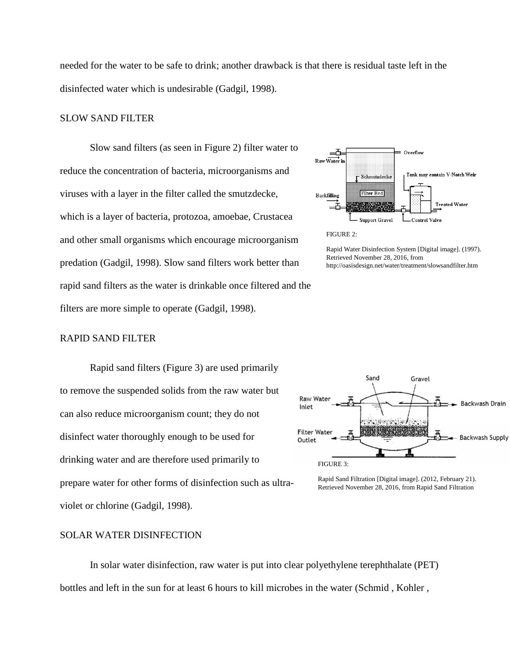needed for the water to be safe to drink; another drawback is that there is residual taste left in the disinfected water which is undesirable (Gadgil, 1998).

### SLOW SAND FILTER

Slow sand filters (as seen in Figure 2) filter water to reduce the concentration of bacteria, microorganisms and viruses with a layer in the filter called the smutzdecke, which is a layer of bacteria, protozoa, amoebae, Crustacea and other small organisms which encourage microorganism predation (Gadgil, 1998). Slow sand filters work better than rapid sand filters as the water is drinkable once filtered and the filters are more simple to operate (Gadgil, 1998).



Overflow

ᅩ

Rapid Water Disinfection System [Digital image]. (1997). Retrieved November 28, 2016, from http://oasisdesign.net/water/treatment/slowsandfilter.htm

### RAPID SAND FILTER

Rapid sand filters (Figure 3) are used primarily to remove the suspended solids from the raw water but can also reduce microorganism count; they do not disinfect water thoroughly enough to be used for drinking water and are therefore used primarily to prepare water for other forms of disinfection such as ultraviolet or chlorine (Gadgil, 1998).



Rapid Sand Filtration [Digital image]. (2012, February 21). Retrieved November 28, 2016, from Rapid Sand Filtration

# SOLAR WATER DISINFECTION

In solar water disinfection, raw water is put into clear polyethylene terephthalate (PET) bottles and left in the sun for at least 6 hours to kill microbes in the water (Schmid , Kohler ,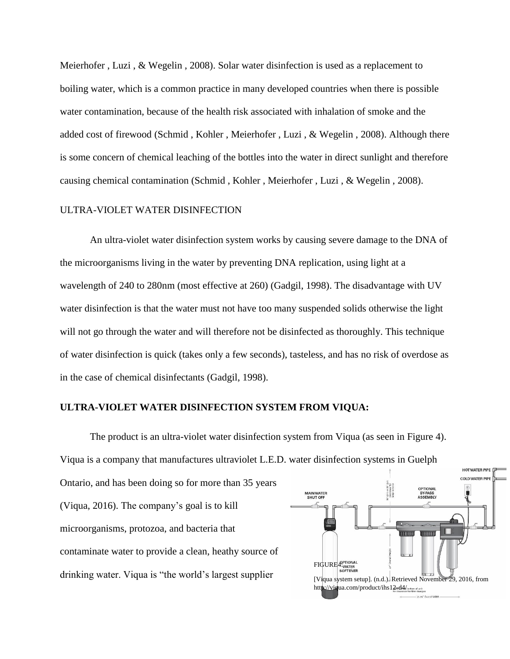Meierhofer , Luzi , & Wegelin , 2008). Solar water disinfection is used as a replacement to boiling water, which is a common practice in many developed countries when there is possible water contamination, because of the health risk associated with inhalation of smoke and the added cost of firewood (Schmid , Kohler , Meierhofer , Luzi , & Wegelin , 2008). Although there is some concern of chemical leaching of the bottles into the water in direct sunlight and therefore causing chemical contamination (Schmid , Kohler , Meierhofer , Luzi , & Wegelin , 2008).

### ULTRA-VIOLET WATER DISINFECTION

An ultra-violet water disinfection system works by causing severe damage to the DNA of the microorganisms living in the water by preventing DNA replication, using light at a wavelength of 240 to 280nm (most effective at 260) (Gadgil, 1998). The disadvantage with UV water disinfection is that the water must not have too many suspended solids otherwise the light will not go through the water and will therefore not be disinfected as thoroughly. This technique of water disinfection is quick (takes only a few seconds), tasteless, and has no risk of overdose as in the case of chemical disinfectants (Gadgil, 1998).

# **ULTRA-VIOLET WATER DISINFECTION SYSTEM FROM VIQUA:**

The product is an ultra-violet water disinfection system from Viqua (as seen in Figure 4). Viqua is a company that manufactures ultraviolet L.E.D. water disinfection systems in Guelph

Ontario, and has been doing so for more than 35 years (Viqua, 2016). The company's goal is to kill microorganisms, protozoa, and bacteria that contaminate water to provide a clean, heathy source of drinking water. Viqua is "the world's largest supplier

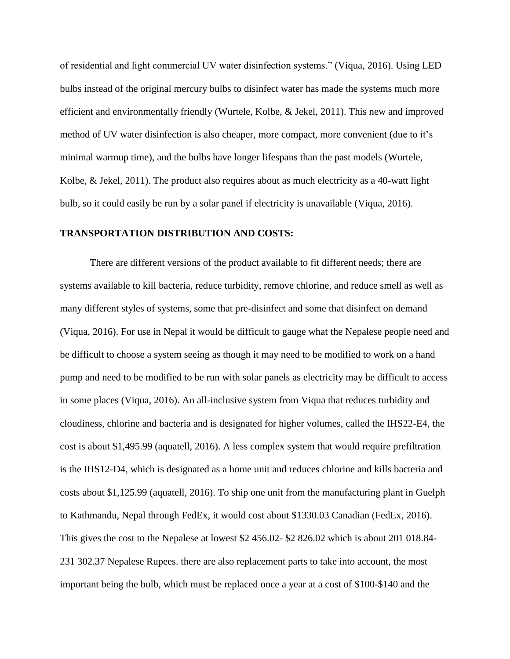of residential and light commercial UV water disinfection systems." (Viqua, 2016). Using LED bulbs instead of the original mercury bulbs to disinfect water has made the systems much more efficient and environmentally friendly (Wurtele, Kolbe, & Jekel, 2011). This new and improved method of UV water disinfection is also cheaper, more compact, more convenient (due to it's minimal warmup time), and the bulbs have longer lifespans than the past models (Wurtele, Kolbe, & Jekel, 2011). The product also requires about as much electricity as a 40-watt light bulb, so it could easily be run by a solar panel if electricity is unavailable (Viqua, 2016).

### **TRANSPORTATION DISTRIBUTION AND COSTS:**

There are different versions of the product available to fit different needs; there are systems available to kill bacteria, reduce turbidity, remove chlorine, and reduce smell as well as many different styles of systems, some that pre-disinfect and some that disinfect on demand (Viqua, 2016). For use in Nepal it would be difficult to gauge what the Nepalese people need and be difficult to choose a system seeing as though it may need to be modified to work on a hand pump and need to be modified to be run with solar panels as electricity may be difficult to access in some places (Viqua, 2016). An all-inclusive system from Viqua that reduces turbidity and cloudiness, chlorine and bacteria and is designated for higher volumes, called the IHS22-E4, the cost is about \$1,495.99 (aquatell, 2016). A less complex system that would require prefiltration is the IHS12-D4, which is designated as a home unit and reduces chlorine and kills bacteria and costs about \$1,125.99 (aquatell, 2016). To ship one unit from the manufacturing plant in Guelph to Kathmandu, Nepal through FedEx, it would cost about \$1330.03 Canadian (FedEx, 2016). This gives the cost to the Nepalese at lowest \$2 456.02- \$2 826.02 which is about 201 018.84- 231 302.37 Nepalese Rupees. there are also replacement parts to take into account, the most important being the bulb, which must be replaced once a year at a cost of \$100-\$140 and the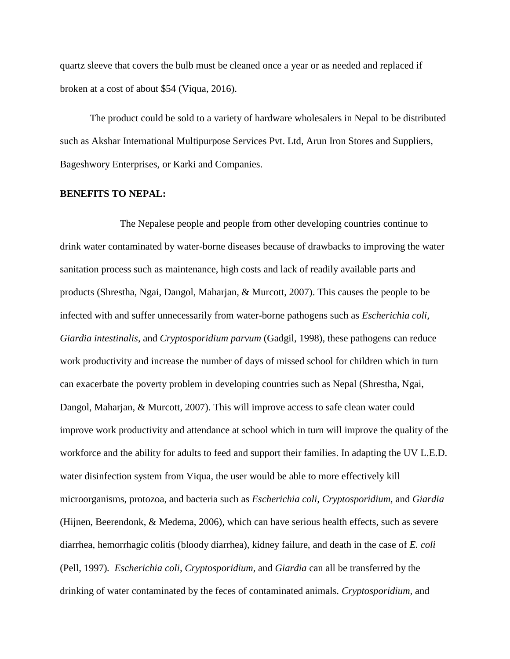quartz sleeve that covers the bulb must be cleaned once a year or as needed and replaced if broken at a cost of about \$54 (Viqua, 2016).

The product could be sold to a variety of hardware wholesalers in Nepal to be distributed such as Akshar International Multipurpose Services Pvt. Ltd, Arun Iron Stores and Suppliers, Bageshwory Enterprises, or Karki and Companies.

#### **BENEFITS TO NEPAL:**

The Nepalese people and people from other developing countries continue to drink water contaminated by water-borne diseases because of drawbacks to improving the water sanitation process such as maintenance, high costs and lack of readily available parts and products (Shrestha, Ngai, Dangol, Maharjan, & Murcott, 2007). This causes the people to be infected with and suffer unnecessarily from water-borne pathogens such as *Escherichia coli, Giardia intestinalis*, and *Cryptosporidium parvum* (Gadgil, 1998)*,* these pathogens can reduce work productivity and increase the number of days of missed school for children which in turn can exacerbate the poverty problem in developing countries such as Nepal (Shrestha, Ngai, Dangol, Maharjan, & Murcott, 2007). This will improve access to safe clean water could improve work productivity and attendance at school which in turn will improve the quality of the workforce and the ability for adults to feed and support their families. In adapting the UV L.E.D. water disinfection system from Viqua, the user would be able to more effectively kill microorganisms, protozoa, and bacteria such as *Escherichia coli, Cryptosporidium,* and *Giardia*  (Hijnen, Beerendonk, & Medema, 2006)*,* which can have serious health effects, such as severe diarrhea, hemorrhagic colitis (bloody diarrhea), kidney failure, and death in the case of *E. coli*  (Pell, 1997)*. Escherichia coli, Cryptosporidium,* and *Giardia* can all be transferred by the drinking of water contaminated by the feces of contaminated animals. *Cryptosporidium,* and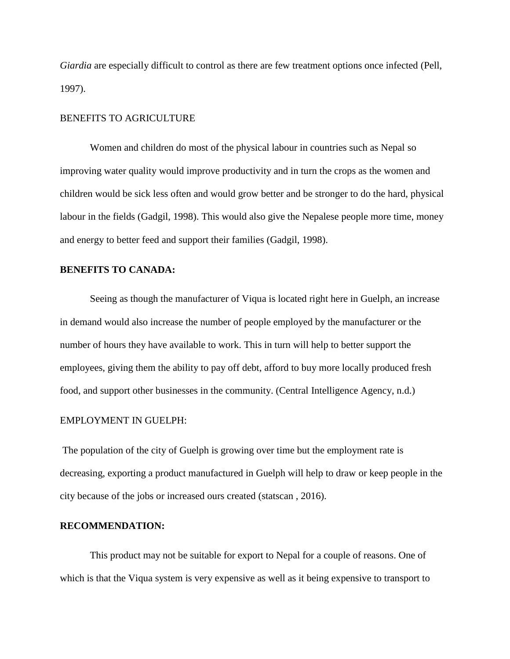*Giardia* are especially difficult to control as there are few treatment options once infected (Pell, 1997).

### BENEFITS TO AGRICULTURE

Women and children do most of the physical labour in countries such as Nepal so improving water quality would improve productivity and in turn the crops as the women and children would be sick less often and would grow better and be stronger to do the hard, physical labour in the fields (Gadgil, 1998). This would also give the Nepalese people more time, money and energy to better feed and support their families (Gadgil, 1998).

### **BENEFITS TO CANADA:**

Seeing as though the manufacturer of Viqua is located right here in Guelph, an increase in demand would also increase the number of people employed by the manufacturer or the number of hours they have available to work. This in turn will help to better support the employees, giving them the ability to pay off debt, afford to buy more locally produced fresh food, and support other businesses in the community. (Central Intelligence Agency, n.d.)

#### EMPLOYMENT IN GUELPH:

The population of the city of Guelph is growing over time but the employment rate is decreasing, exporting a product manufactured in Guelph will help to draw or keep people in the city because of the jobs or increased ours created (statscan , 2016).

### **RECOMMENDATION:**

This product may not be suitable for export to Nepal for a couple of reasons. One of which is that the Viqua system is very expensive as well as it being expensive to transport to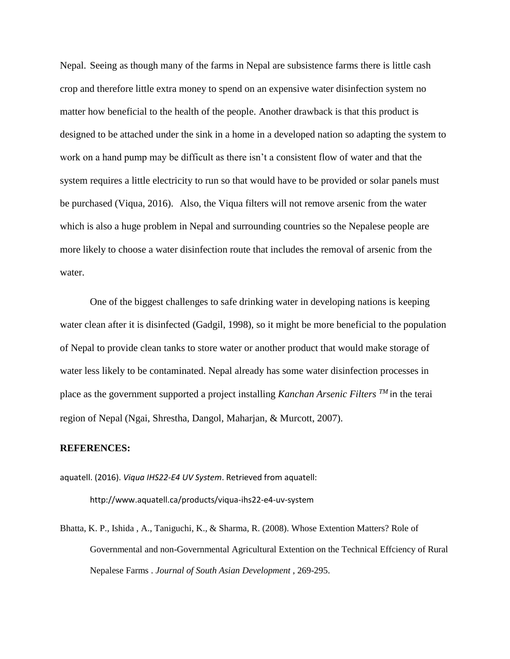Nepal. Seeing as though many of the farms in Nepal are subsistence farms there is little cash crop and therefore little extra money to spend on an expensive water disinfection system no matter how beneficial to the health of the people. Another drawback is that this product is designed to be attached under the sink in a home in a developed nation so adapting the system to work on a hand pump may be difficult as there isn't a consistent flow of water and that the system requires a little electricity to run so that would have to be provided or solar panels must be purchased (Viqua, 2016). Also, the Viqua filters will not remove arsenic from the water which is also a huge problem in Nepal and surrounding countries so the Nepalese people are more likely to choose a water disinfection route that includes the removal of arsenic from the water.

One of the biggest challenges to safe drinking water in developing nations is keeping water clean after it is disinfected (Gadgil, 1998), so it might be more beneficial to the population of Nepal to provide clean tanks to store water or another product that would make storage of water less likely to be contaminated. Nepal already has some water disinfection processes in place as the government supported a project installing *Kanchan Arsenic Filters TM* in the terai region of Nepal (Ngai, Shrestha, Dangol, Maharjan, & Murcott, 2007).

#### **REFERENCES:**

aquatell. (2016). *Viqua IHS22-E4 UV System*. Retrieved from aquatell: http://www.aquatell.ca/products/viqua-ihs22-e4-uv-system

Bhatta, K. P., Ishida , A., Taniguchi, K., & Sharma, R. (2008). Whose Extention Matters? Role of Governmental and non-Governmental Agricultural Extention on the Technical Effciency of Rural Nepalese Farms . *Journal of South Asian Development* , 269-295.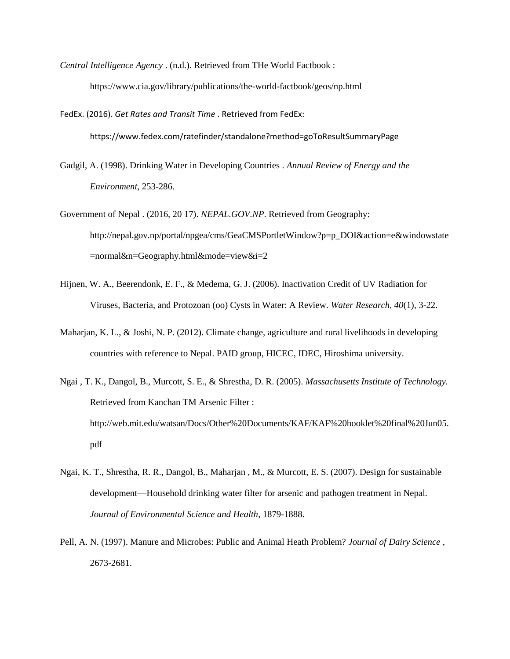*Central Intelligence Agency* . (n.d.). Retrieved from THe World Factbook : https://www.cia.gov/library/publications/the-world-factbook/geos/np.html

FedEx. (2016). *Get Rates and Transit Time* . Retrieved from FedEx: https://www.fedex.com/ratefinder/standalone?method=goToResultSummaryPage

- Gadgil, A. (1998). Drinking Water in Developing Countries . *Annual Review of Energy and the Environment*, 253-286.
- Government of Nepal . (2016, 20 17). *NEPAL.GOV.NP*. Retrieved from Geography: http://nepal.gov.np/portal/npgea/cms/GeaCMSPortletWindow?p=p\_DOI&action=e&windowstate =normal&n=Geography.html&mode=view&i=2
- Hijnen, W. A., Beerendonk, E. F., & Medema, G. J. (2006). Inactivation Credit of UV Radiation for Viruses, Bacteria, and Protozoan (oo) Cysts in Water: A Review. *Water Research, 40*(1), 3-22.
- Maharjan, K. L., & Joshi, N. P. (2012). Climate change, agriculture and rural livelihoods in developing countries with reference to Nepal. PAID group, HICEC, IDEC, Hiroshima university.
- Ngai , T. K., Dangol, B., Murcott, S. E., & Shrestha, D. R. (2005). *Massachusetts Institute of Technology.* Retrieved from Kanchan TM Arsenic Filter : http://web.mit.edu/watsan/Docs/Other%20Documents/KAF/KAF%20booklet%20final%20Jun05. pdf
- Ngai, K. T., Shrestha, R. R., Dangol, B., Maharjan , M., & Murcott, E. S. (2007). Design for sustainable development—Household drinking water filter for arsenic and pathogen treatment in Nepal. *Journal of Environmental Science and Health*, 1879-1888.
- Pell, A. N. (1997). Manure and Microbes: Public and Animal Heath Problem? *Journal of Dairy Science* , 2673-2681.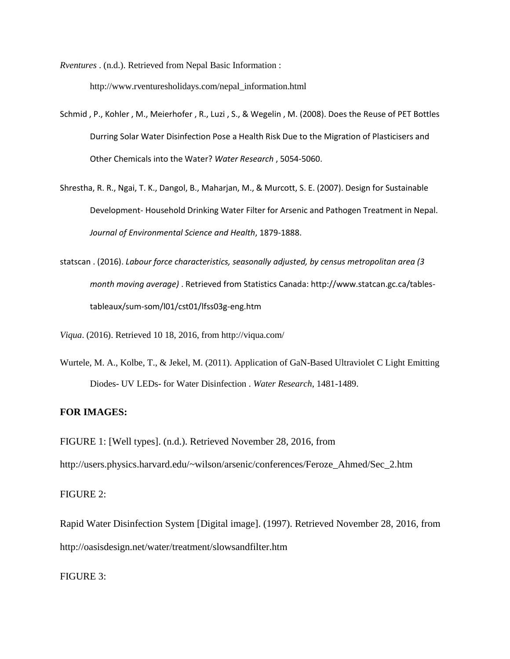*Rventures* . (n.d.). Retrieved from Nepal Basic Information : http://www.rventuresholidays.com/nepal\_information.html

- Schmid , P., Kohler , M., Meierhofer , R., Luzi , S., & Wegelin , M. (2008). Does the Reuse of PET Bottles Durring Solar Water Disinfection Pose a Health Risk Due to the Migration of Plasticisers and Other Chemicals into the Water? *Water Research* , 5054-5060.
- Shrestha, R. R., Ngai, T. K., Dangol, B., Maharjan, M., & Murcott, S. E. (2007). Design for Sustainable Development- Household Drinking Water Filter for Arsenic and Pathogen Treatment in Nepal. *Journal of Environmental Science and Health*, 1879-1888.
- statscan . (2016). *Labour force characteristics, seasonally adjusted, by census metropolitan area (3 month moving average)* . Retrieved from Statistics Canada: http://www.statcan.gc.ca/tablestableaux/sum-som/l01/cst01/lfss03g-eng.htm

*Viqua*. (2016). Retrieved 10 18, 2016, from http://viqua.com/

Wurtele, M. A., Kolbe, T., & Jekel, M. (2011). Application of GaN-Based Ultraviolet C Light Emitting Diodes- UV LEDs- for Water Disinfection . *Water Research*, 1481-1489.

# **FOR IMAGES:**

FIGURE 1: [Well types]. (n.d.). Retrieved November 28, 2016, from

http://users.physics.harvard.edu/~wilson/arsenic/conferences/Feroze\_Ahmed/Sec\_2.htm

# FIGURE 2:

Rapid Water Disinfection System [Digital image]. (1997). Retrieved November 28, 2016, from http://oasisdesign.net/water/treatment/slowsandfilter.htm

FIGURE 3: